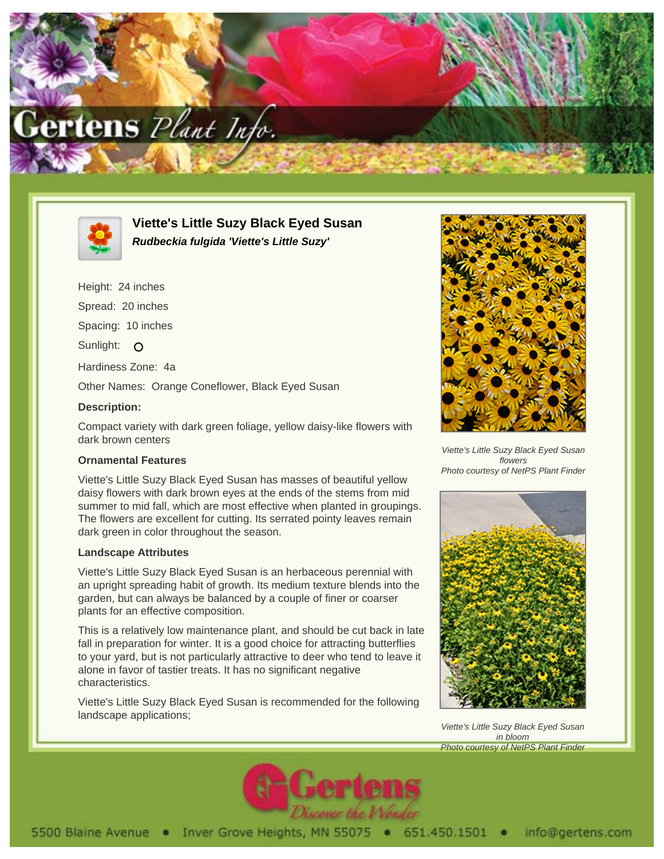



**Viette's Little Suzy Black Eyed Susan Rudbeckia fulgida 'Viette's Little Suzy'**

Height: 24 inches Spread: 20 inches Spacing: 10 inches Sunlight: O Hardiness Zone: 4a Other Names: Orange Coneflower, Black Eyed Susan **Description:**

Compact variety with dark green foliage, yellow daisy-like flowers with dark brown centers

## **Ornamental Features**

Viette's Little Suzy Black Eyed Susan has masses of beautiful yellow daisy flowers with dark brown eyes at the ends of the stems from mid summer to mid fall, which are most effective when planted in groupings. The flowers are excellent for cutting. Its serrated pointy leaves remain dark green in color throughout the season.

## **Landscape Attributes**

Viette's Little Suzy Black Eyed Susan is an herbaceous perennial with an upright spreading habit of growth. Its medium texture blends into the garden, but can always be balanced by a couple of finer or coarser plants for an effective composition.

This is a relatively low maintenance plant, and should be cut back in late fall in preparation for winter. It is a good choice for attracting butterflies to your yard, but is not particularly attractive to deer who tend to leave it alone in favor of tastier treats. It has no significant negative characteristics.

Viette's Little Suzy Black Eyed Susan is recommended for the following landscape applications;



Viette's Little Suzy Black Eyed Susan flowers Photo courtesy of NetPS Plant Finder



Viette's Little Suzy Black Eyed Susan in bloom Photo courtesy of NetPS Plant Finder